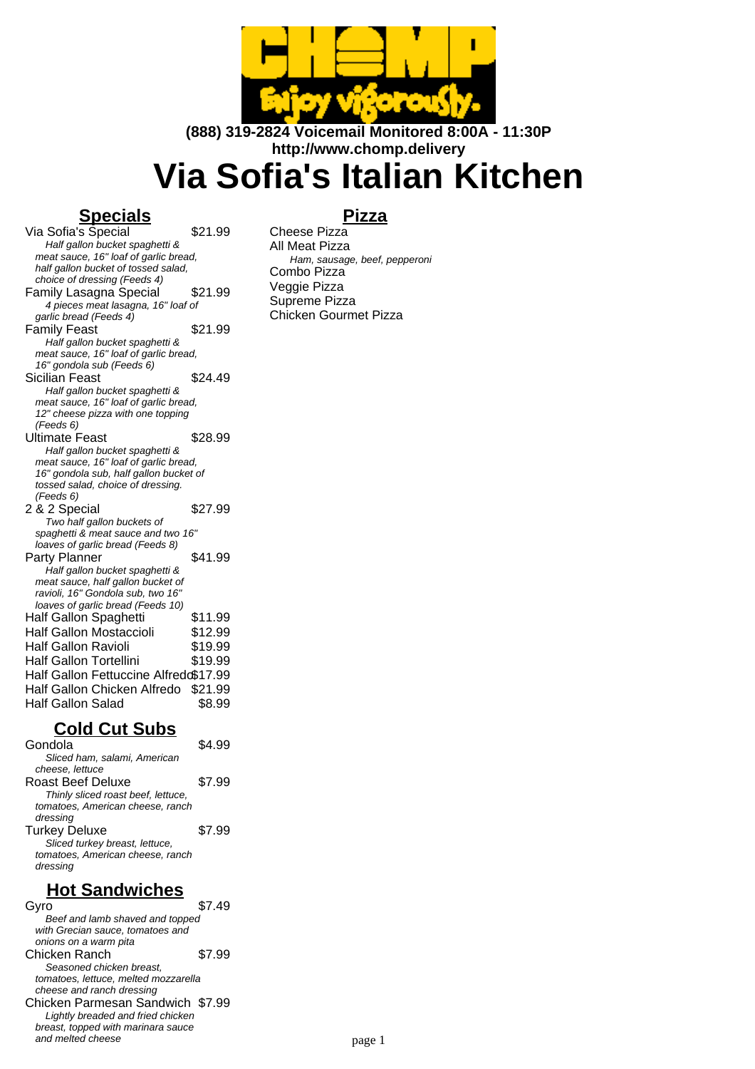

**(888) 319-2824 Voicemail Monitored 8:00A - 11:30P http://www.chomp.delivery**

# **Via Sofia's Italian Kitchen**

### **Specials**

**Pizza**

Via Sofia's Special \$21.99 Half gallon bucket spaghetti & meat sauce, 16" loaf of garlic bread, half gallon bucket of tossed salad, choice of dressing (Feeds 4) Family Lasagna Special \$21.99 4 pieces meat lasagna, 16" loaf of garlic bread (Feeds 4) Family Feast  $$21.99$ Half gallon bucket spaghetti & meat sauce, 16" loaf of garlic bread, 16" gondola sub (Feeds 6) Sicilian Feast \$24.49 Half gallon bucket spaghetti & meat sauce, 16" loaf of garlic bread, 12" cheese pizza with one topping (Feeds 6) Ultimate Feast \$28.99 Half gallon bucket spaghetti & meat sauce, 16" loaf of garlic bread, 16" gondola sub, half gallon bucket of tossed salad, choice of dressing. (Feeds 6) 2 & 2 Special \$27.99 Two half gallon buckets of spaghetti & meat sauce and two 16" loaves of garlic bread (Feeds 8) Party Planner \$41.99 Half gallon bucket spaghetti & meat sauce, half gallon bucket of ravioli, 16" Gondola sub, two 16" loaves of garlic bread (Feeds 10) Half Gallon Spaghetti \$11.99 Half Gallon Mostaccioli \$12.99 Half Gallon Ravioli \$19.99 Half Gallon Tortellini \$19.99 Half Gallon Fettuccine Alfredo\$17.99 Half Gallon Chicken Alfredo \$21.99 Half Gallon Salad \$8.99

#### **Cold Cut Subs**

| Gondola                            |        |
|------------------------------------|--------|
| Sliced ham, salami, American       |        |
| cheese, lettuce                    |        |
| Roast Beef Deluxe                  | \$7.99 |
| Thinly sliced roast beef, lettuce, |        |
| tomatoes. American cheese, ranch   |        |
| dressing                           |        |
| <b>Turkey Deluxe</b>               | \$7.99 |
| Sliced turkey breast, lettuce,     |        |
| tomatoes, American cheese, ranch   |        |
| dressing                           |        |
|                                    |        |

## **Hot Sandwiches**

Gyro \$7.49 Beef and lamb shaved and topped with Grecian sauce, tomatoes and onions on a warm pita Chicken Ranch \$7.99 Seasoned chicken breast, tomatoes, lettuce, melted mozzarella cheese and ranch dressing Chicken Parmesan Sandwich \$7.99 Lightly breaded and fried chicken breast, topped with marinara sauce and melted cheese

Cheese Pizza All Meat Pizza Ham, sausage, beef, pepperoni Combo Pizza Veggie Pizza Supreme Pizza Chicken Gourmet Pizza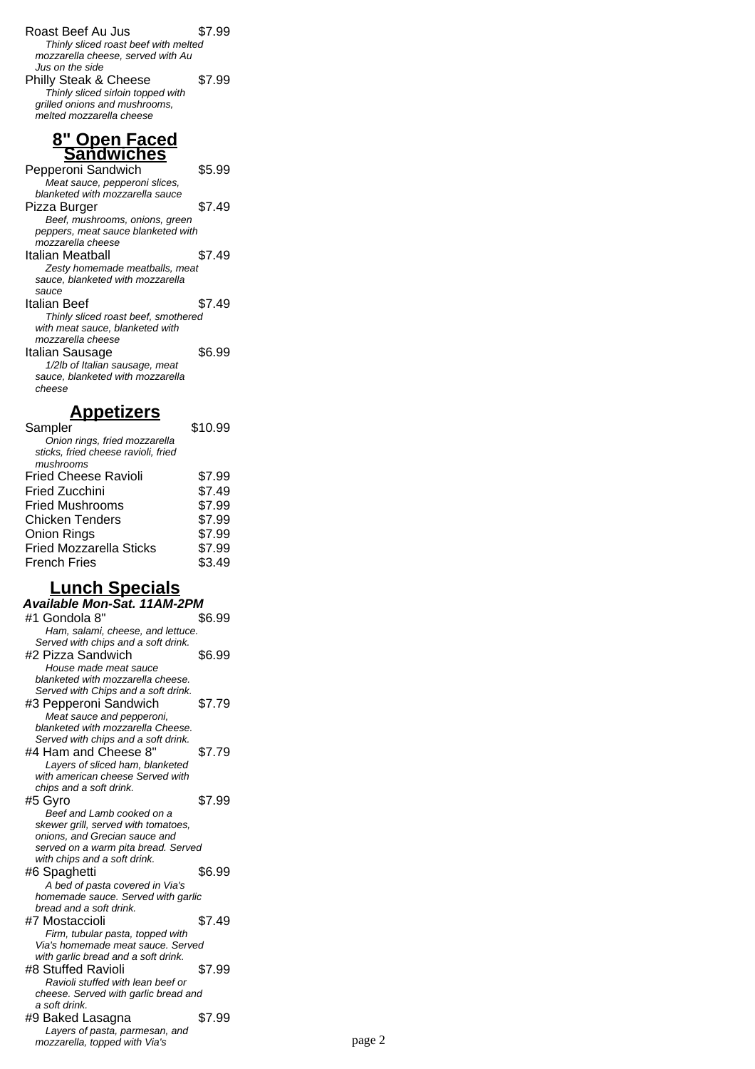Roast Beef Au Jus \$7.99 Thinly sliced roast beef with melted mozzarella cheese, served with Au Jus on the side Philly Steak & Cheese \$7.99 Thinly sliced sirloin topped with grilled onions and mushrooms, melted mozzarella cheese

#### **8" Open Faced Sandwiches**

| Pepperoni Sandwich                  | \$5.99 |
|-------------------------------------|--------|
| Meat sauce, pepperoni slices,       |        |
| hlanketed with mozzarella sauce     |        |
| Pizza Burger                        | \$7.49 |
| Beef, mushrooms, onions, green      |        |
| peppers, meat sauce blanketed with  |        |
| mozzarella cheese                   |        |
| Italian Meatball                    | \$7.49 |
| Zesty homemade meatballs, meat      |        |
| sauce, blanketed with mozzarella    |        |
| sauce                               |        |
| Italian Beef                        | \$7.49 |
| Thinly sliced roast beef, smothered |        |
| with meat sauce, blanketed with     |        |
| mozzarella cheese                   |        |
| Italian Sausage                     | \$6.99 |
| 1/2lb of Italian sausage, meat      |        |
| sauce, blanketed with mozzarella    |        |
| cheese                              |        |
|                                     |        |

# **Appetizers**

| Sampler                             | \$10.99 |
|-------------------------------------|---------|
| Onion rings, fried mozzarella       |         |
| sticks, fried cheese ravioli, fried |         |
| mushrooms                           |         |
| <b>Fried Cheese Ravioli</b>         | \$7.99  |
| <b>Fried Zucchini</b>               | \$7.49  |
| <b>Fried Mushrooms</b>              | \$7.99  |
| <b>Chicken Tenders</b>              | \$7.99  |
| <b>Onion Rings</b>                  | \$7.99  |
| <b>Fried Mozzarella Sticks</b>      | \$7.99  |
| <b>French Fries</b>                 | \$3.49  |
|                                     |         |

# **Lunch Specials**

| Available Mon-Sat. 11AM-2PM          |        |
|--------------------------------------|--------|
| #1 Gondola 8"                        | \$6.99 |
| Ham, salami, cheese, and lettuce.    |        |
| Served with chips and a soft drink.  |        |
| #2 Pizza Sandwich                    | \$6.99 |
| House made meat sauce                |        |
| blanketed with mozzarella cheese.    |        |
| Served with Chips and a soft drink.  |        |
| #3 Pepperoni Sandwich                | \$7.79 |
| Meat sauce and pepperoni,            |        |
| blanketed with mozzarella Cheese.    |        |
| Served with chips and a soft drink.  |        |
| #4 Ham and Cheese 8"                 | \$7.79 |
| Layers of sliced ham, blanketed      |        |
| with american cheese Served with     |        |
| chips and a soft drink.              |        |
| #5 Gyro                              | \$7.99 |
| Beef and Lamb cooked on a            |        |
| skewer grill, served with tomatoes,  |        |
| onions, and Grecian sauce and        |        |
| served on a warm pita bread. Served  |        |
| with chips and a soft drink.         |        |
| #6 Spaghetti                         | \$6.99 |
| A bed of pasta covered in Via's      |        |
| homemade sauce. Served with garlic   |        |
| bread and a soft drink.              |        |
| #7 Mostaccioli                       | \$7.49 |
| Firm, tubular pasta, topped with     |        |
| Via's homemade meat sauce. Served    |        |
| with garlic bread and a soft drink.  |        |
| #8 Stuffed Ravioli                   | \$7.99 |
| Ravioli stuffed with lean beef or    |        |
| cheese. Served with garlic bread and |        |
| a soft drink.                        |        |
| #9 Baked Lasagna                     | \$7.99 |
| Layers of pasta, parmesan, and       |        |
| mozzarella, topped with Via's        |        |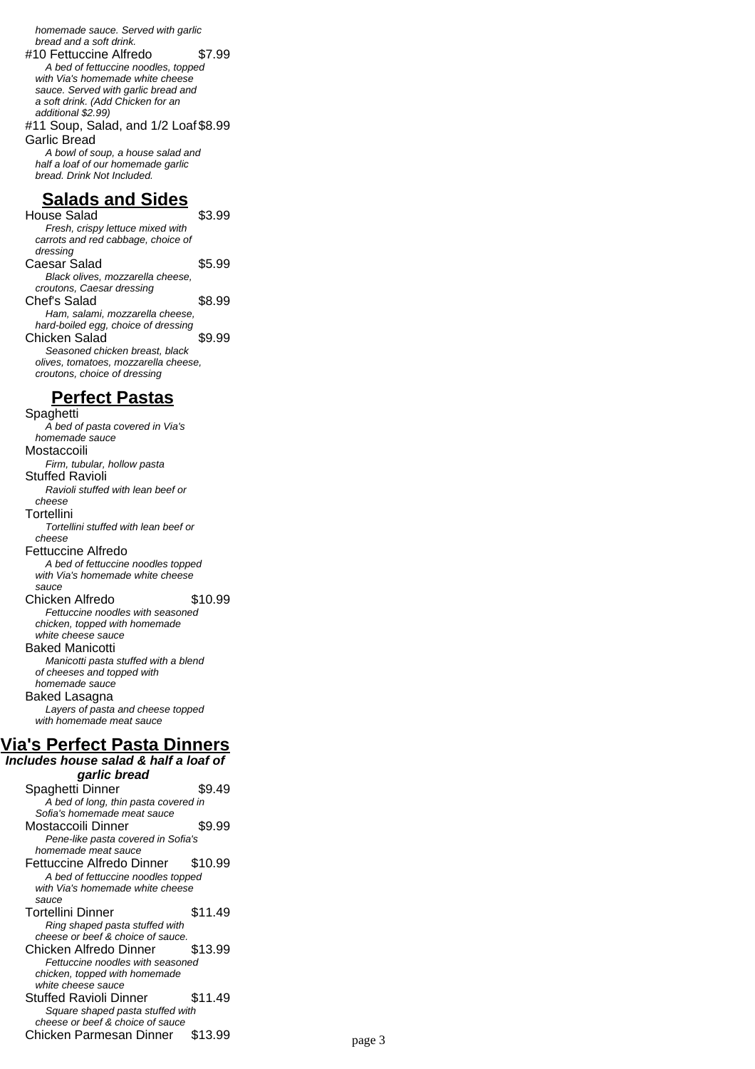homemade sauce. Served with garlic bread and a soft drink.

#10 Fettuccine Alfredo \$7.99 A bed of fettuccine noodles, topped with Via's homemade white cheese sauce. Served with garlic bread and a soft drink. (Add Chicken for an additional \$2.99) #11 Soup, Salad, and 1/2 Loaf \$8.99

Garlic Bread A bowl of soup, a house salad and

half a loaf of our homemade garlic bread. Drink Not Included.

#### **Salads and Sides**

House Salad \$3.99 Fresh, crispy lettuce mixed with carrots and red cabbage, choice of dressing Caesar Salad \$5.99 Black olives, mozzarella cheese, croutons, Caesar dressing Chef's Salad \$8.99 Ham, salami, mozzarella cheese, hard-boiled egg, choice of dressing Chicken Salad \$9.99 Seasoned chicken breast, black olives, tomatoes, mozzarella cheese, croutons, choice of dressing

#### **Perfect Pastas**

Spaghetti A bed of pasta covered in Via's homemade sauce Mostaccoili Firm, tubular, hollow pasta Stuffed Ravioli Ravioli stuffed with lean beef or cheese Tortellini Tortellini stuffed with lean beef or cheese Fettuccine Alfredo A bed of fettuccine noodles topped with Via's homemade white cheese sauce Chicken Alfredo \$10.99 Fettuccine noodles with seasoned chicken, topped with homemade white cheese sauce Baked Manicotti Manicotti pasta stuffed with a blend of cheeses and topped with homemade sauce Baked Lasagna Layers of pasta and cheese topped with homemade meat sauce

## **Via's Perfect Pasta Dinners**

**Includes house salad & half a loaf of garlic bread** Spaghetti Dinner \$9.49 A bed of long, thin pasta covered in Sofia's homemade meat sauce Mostaccoili Dinner \$9.99 Pene-like pasta covered in Sofia's homemade meat sauce Fettuccine Alfredo Dinner \$10.99 A bed of fettuccine noodles topped with Via's homemade white cheese sauce Tortellini Dinner \$11.49 Ring shaped pasta stuffed with cheese or beef & choice of sauce. Chicken Alfredo Dinner \$13.99 Fettuccine noodles with seasoned chicken, topped with homemade white cheese sauce Stuffed Ravioli Dinner \$11.49 Square shaped pasta stuffed with cheese or beef & choice of sauce Chicken Parmesan Dinner \$13.99